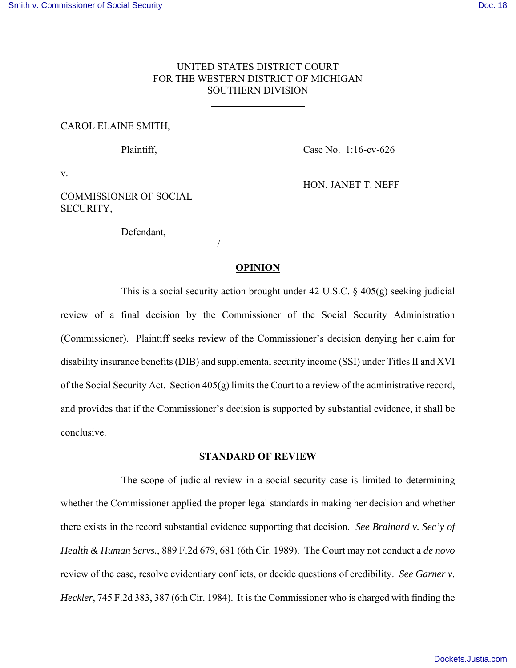## UNITED STATES DISTRICT COURT FOR THE WESTERN DISTRICT OF MICHIGAN SOUTHERN DIVISION

 $\overline{a}$ 

#### CAROL ELAINE SMITH,

Plaintiff, Case No. 1:16-cv-626

v.

HON. JANET T. NEFF

COMMISSIONER OF SOCIAL SECURITY,

Defendant, <u>/</u>

## **OPINION**

This is a social security action brought under 42 U.S.C. § 405(g) seeking judicial review of a final decision by the Commissioner of the Social Security Administration (Commissioner). Plaintiff seeks review of the Commissioner's decision denying her claim for disability insurance benefits (DIB) and supplemental security income (SSI) under Titles II and XVI of the Social Security Act. Section 405(g) limits the Court to a review of the administrative record, and provides that if the Commissioner's decision is supported by substantial evidence, it shall be conclusive.

## **STANDARD OF REVIEW**

The scope of judicial review in a social security case is limited to determining whether the Commissioner applied the proper legal standards in making her decision and whether there exists in the record substantial evidence supporting that decision. *See Brainard v. Sec'y of Health & Human Servs.*, 889 F.2d 679, 681 (6th Cir. 1989). The Court may not conduct a *de novo* review of the case, resolve evidentiary conflicts, or decide questions of credibility. *See Garner v. Heckler*, 745 F.2d 383, 387 (6th Cir. 1984). It is the Commissioner who is charged with finding the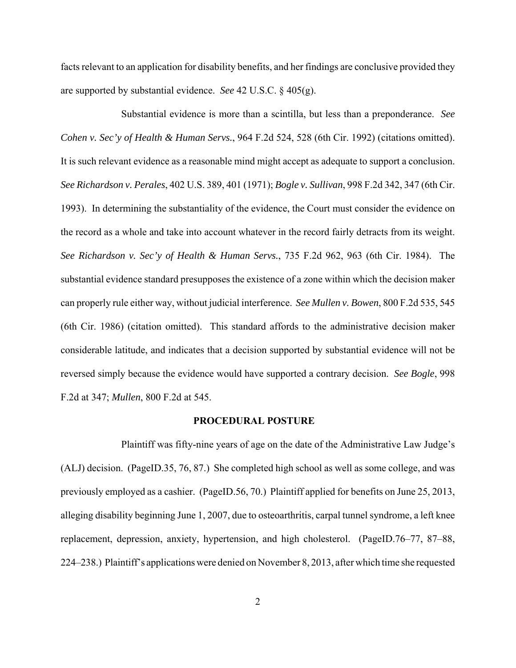facts relevant to an application for disability benefits, and her findings are conclusive provided they are supported by substantial evidence. *See* 42 U.S.C. § 405(g).

Substantial evidence is more than a scintilla, but less than a preponderance. *See Cohen v. Sec'y of Health & Human Servs.*, 964 F.2d 524, 528 (6th Cir. 1992) (citations omitted). It is such relevant evidence as a reasonable mind might accept as adequate to support a conclusion. *See Richardson v. Perales*, 402 U.S. 389, 401 (1971); *Bogle v. Sullivan*, 998 F.2d 342, 347 (6th Cir. 1993). In determining the substantiality of the evidence, the Court must consider the evidence on the record as a whole and take into account whatever in the record fairly detracts from its weight. *See Richardson v. Sec'y of Health & Human Servs.*, 735 F.2d 962, 963 (6th Cir. 1984). The substantial evidence standard presupposes the existence of a zone within which the decision maker can properly rule either way, without judicial interference. *See Mullen v. Bowen*, 800 F.2d 535, 545 (6th Cir. 1986) (citation omitted). This standard affords to the administrative decision maker considerable latitude, and indicates that a decision supported by substantial evidence will not be reversed simply because the evidence would have supported a contrary decision. *See Bogle*, 998 F.2d at 347; *Mullen*, 800 F.2d at 545.

#### **PROCEDURAL POSTURE**

Plaintiff was fifty-nine years of age on the date of the Administrative Law Judge's (ALJ) decision. (PageID.35, 76, 87.) She completed high school as well as some college, and was previously employed as a cashier. (PageID.56, 70.) Plaintiff applied for benefits on June 25, 2013, alleging disability beginning June 1, 2007, due to osteoarthritis, carpal tunnel syndrome, a left knee replacement, depression, anxiety, hypertension, and high cholesterol. (PageID.76–77, 87–88, 224–238.) Plaintiff's applications were denied on November 8, 2013, after which time she requested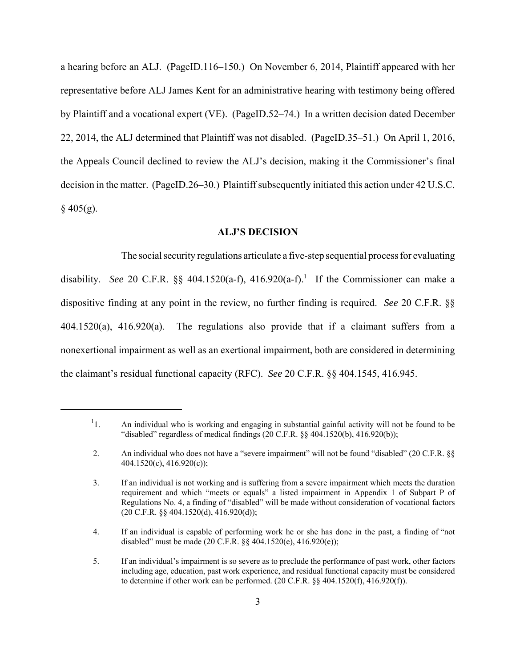a hearing before an ALJ. (PageID.116–150.) On November 6, 2014, Plaintiff appeared with her representative before ALJ James Kent for an administrative hearing with testimony being offered by Plaintiff and a vocational expert (VE). (PageID.52–74.) In a written decision dated December 22, 2014, the ALJ determined that Plaintiff was not disabled. (PageID.35–51.) On April 1, 2016, the Appeals Council declined to review the ALJ's decision, making it the Commissioner's final decision in the matter. (PageID.26–30.) Plaintiff subsequently initiated this action under 42 U.S.C.  $§$  405(g).

## **ALJ'S DECISION**

The social security regulations articulate a five-step sequential process for evaluating disability. See 20 C.F.R.  $\S$  404.1520(a-f), 416.920(a-f).<sup>1</sup> If the Commissioner can make a dispositive finding at any point in the review, no further finding is required. *See* 20 C.F.R. §§ 404.1520(a), 416.920(a). The regulations also provide that if a claimant suffers from a nonexertional impairment as well as an exertional impairment, both are considered in determining the claimant's residual functional capacity (RFC). *See* 20 C.F.R. §§ 404.1545, 416.945.

 $1<sub>1</sub>$ 1. An individual who is working and engaging in substantial gainful activity will not be found to be "disabled" regardless of medical findings  $(20 \text{ C.F.R.} \$ §§ 404.1520(b), 416.920(b));

 <sup>2.</sup> An individual who does not have a "severe impairment" will not be found "disabled" (20 C.F.R. §§ 404.1520(c), 416.920(c));

 <sup>3.</sup> If an individual is not working and is suffering from a severe impairment which meets the duration requirement and which "meets or equals" a listed impairment in Appendix 1 of Subpart P of Regulations No. 4, a finding of "disabled" will be made without consideration of vocational factors (20 C.F.R. §§ 404.1520(d), 416.920(d));

 <sup>4.</sup> If an individual is capable of performing work he or she has done in the past, a finding of "not disabled" must be made (20 C.F.R. §§ 404.1520(e), 416.920(e));

 <sup>5.</sup> If an individual's impairment is so severe as to preclude the performance of past work, other factors including age, education, past work experience, and residual functional capacity must be considered to determine if other work can be performed. (20 C.F.R. §§ 404.1520(f), 416.920(f)).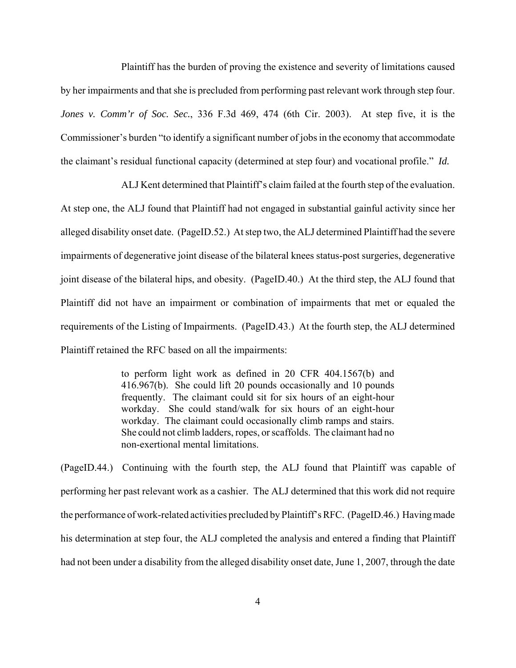Plaintiff has the burden of proving the existence and severity of limitations caused by her impairments and that she is precluded from performing past relevant work through step four. *Jones v. Comm'r of Soc. Sec.*, 336 F.3d 469, 474 (6th Cir. 2003). At step five, it is the Commissioner's burden "to identify a significant number of jobs in the economy that accommodate the claimant's residual functional capacity (determined at step four) and vocational profile." *Id.*

ALJ Kent determined that Plaintiff's claim failed at the fourth step of the evaluation. At step one, the ALJ found that Plaintiff had not engaged in substantial gainful activity since her alleged disability onset date. (PageID.52.) At step two, the ALJ determined Plaintiff had the severe impairments of degenerative joint disease of the bilateral knees status-post surgeries, degenerative joint disease of the bilateral hips, and obesity. (PageID.40.) At the third step, the ALJ found that Plaintiff did not have an impairment or combination of impairments that met or equaled the requirements of the Listing of Impairments. (PageID.43.) At the fourth step, the ALJ determined Plaintiff retained the RFC based on all the impairments:

> to perform light work as defined in 20 CFR 404.1567(b) and 416.967(b). She could lift 20 pounds occasionally and 10 pounds frequently. The claimant could sit for six hours of an eight-hour workday. She could stand/walk for six hours of an eight-hour workday. The claimant could occasionally climb ramps and stairs. She could not climb ladders, ropes, or scaffolds. The claimant had no non-exertional mental limitations.

(PageID.44.) Continuing with the fourth step, the ALJ found that Plaintiff was capable of performing her past relevant work as a cashier. The ALJ determined that this work did not require the performance of work-related activities precluded by Plaintiff's RFC. (PageID.46.) Having made his determination at step four, the ALJ completed the analysis and entered a finding that Plaintiff had not been under a disability from the alleged disability onset date, June 1, 2007, through the date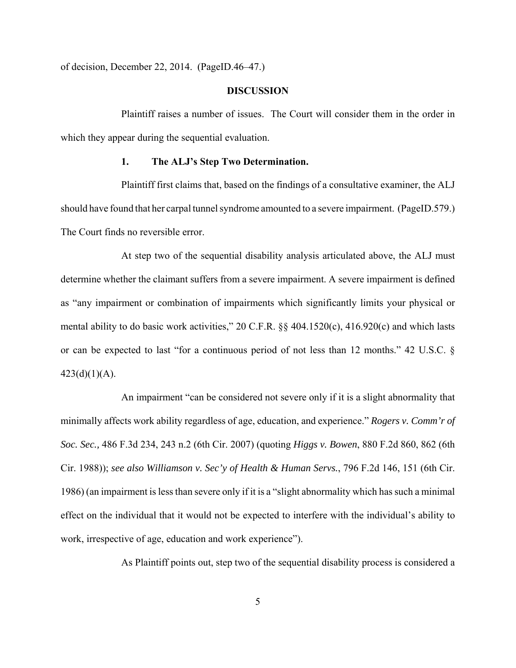of decision, December 22, 2014. (PageID.46–47.)

#### **DISCUSSION**

Plaintiff raises a number of issues. The Court will consider them in the order in which they appear during the sequential evaluation.

# **1. The ALJ's Step Two Determination.**

Plaintiff first claims that, based on the findings of a consultative examiner, the ALJ should have found that her carpal tunnel syndrome amounted to a severe impairment. (PageID.579.) The Court finds no reversible error.

At step two of the sequential disability analysis articulated above, the ALJ must determine whether the claimant suffers from a severe impairment. A severe impairment is defined as "any impairment or combination of impairments which significantly limits your physical or mental ability to do basic work activities," 20 C.F.R. §§ 404.1520(c), 416.920(c) and which lasts or can be expected to last "for a continuous period of not less than 12 months." 42 U.S.C. §  $423(d)(1)(A)$ .

An impairment "can be considered not severe only if it is a slight abnormality that minimally affects work ability regardless of age, education, and experience." *Rogers v. Comm'r of Soc. Sec.,* 486 F.3d 234, 243 n.2 (6th Cir. 2007) (quoting *Higgs v. Bowen*, 880 F.2d 860, 862 (6th Cir. 1988)); *see also Williamson v. Sec'y of Health & Human Servs.*, 796 F.2d 146, 151 (6th Cir. 1986) (an impairment is less than severe only if it is a "slight abnormality which has such a minimal effect on the individual that it would not be expected to interfere with the individual's ability to work, irrespective of age, education and work experience").

As Plaintiff points out, step two of the sequential disability process is considered a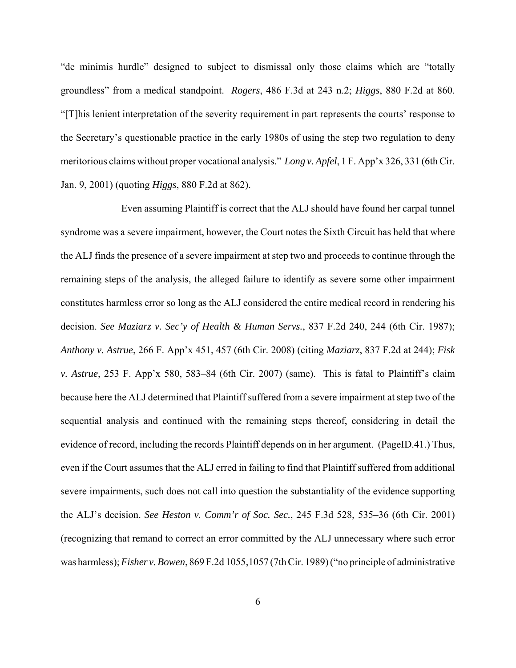"de minimis hurdle" designed to subject to dismissal only those claims which are "totally groundless" from a medical standpoint. *Rogers*, 486 F.3d at 243 n.2; *Higgs*, 880 F.2d at 860. "[T]his lenient interpretation of the severity requirement in part represents the courts' response to the Secretary's questionable practice in the early 1980s of using the step two regulation to deny meritorious claims without proper vocational analysis." *Long v. Apfel*, 1 F. App'x 326, 331 (6th Cir. Jan. 9, 2001) (quoting *Higgs*, 880 F.2d at 862).

Even assuming Plaintiff is correct that the ALJ should have found her carpal tunnel syndrome was a severe impairment, however, the Court notes the Sixth Circuit has held that where the ALJ finds the presence of a severe impairment at step two and proceeds to continue through the remaining steps of the analysis, the alleged failure to identify as severe some other impairment constitutes harmless error so long as the ALJ considered the entire medical record in rendering his decision. *See Maziarz v. Sec'y of Health & Human Servs.*, 837 F.2d 240, 244 (6th Cir. 1987); *Anthony v. Astrue*, 266 F. App'x 451, 457 (6th Cir. 2008) (citing *Maziarz*, 837 F.2d at 244); *Fisk v. Astrue*, 253 F. App'x 580, 583–84 (6th Cir. 2007) (same). This is fatal to Plaintiff's claim because here the ALJ determined that Plaintiff suffered from a severe impairment at step two of the sequential analysis and continued with the remaining steps thereof, considering in detail the evidence of record, including the records Plaintiff depends on in her argument. (PageID.41.) Thus, even if the Court assumes that the ALJ erred in failing to find that Plaintiff suffered from additional severe impairments, such does not call into question the substantiality of the evidence supporting the ALJ's decision. *See Heston v. Comm'r of Soc. Sec.*, 245 F.3d 528, 535–36 (6th Cir. 2001) (recognizing that remand to correct an error committed by the ALJ unnecessary where such error was harmless); *Fisher v. Bowen*, 869 F.2d 1055,1057 (7th Cir. 1989) ("no principle of administrative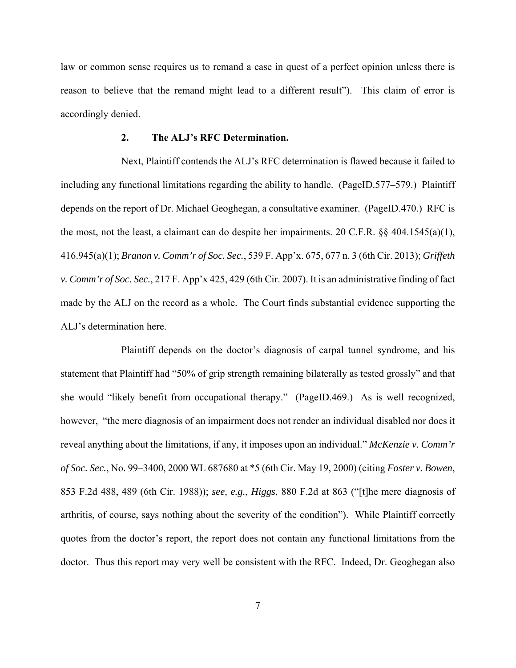law or common sense requires us to remand a case in quest of a perfect opinion unless there is reason to believe that the remand might lead to a different result"). This claim of error is accordingly denied.

#### **2. The ALJ's RFC Determination.**

Next, Plaintiff contends the ALJ's RFC determination is flawed because it failed to including any functional limitations regarding the ability to handle. (PageID.577–579.) Plaintiff depends on the report of Dr. Michael Geoghegan, a consultative examiner. (PageID.470.) RFC is the most, not the least, a claimant can do despite her impairments. 20 C.F.R. §§ 404.1545(a)(1), 416.945(a)(1); *Branon v. Comm'r of Soc. Sec.*, 539 F. App'x. 675, 677 n. 3 (6th Cir. 2013); *Griffeth v. Comm'r of Soc. Sec.*, 217 F. App'x 425, 429 (6th Cir. 2007). It is an administrative finding of fact made by the ALJ on the record as a whole. The Court finds substantial evidence supporting the ALJ's determination here.

Plaintiff depends on the doctor's diagnosis of carpal tunnel syndrome, and his statement that Plaintiff had "50% of grip strength remaining bilaterally as tested grossly" and that she would "likely benefit from occupational therapy." (PageID.469.) As is well recognized, however, "the mere diagnosis of an impairment does not render an individual disabled nor does it reveal anything about the limitations, if any, it imposes upon an individual." *McKenzie v. Comm'r of Soc. Sec.*, No. 99–3400, 2000 WL 687680 at \*5 (6th Cir. May 19, 2000) (citing *Foster v. Bowen*, 853 F.2d 488, 489 (6th Cir. 1988)); *see, e.g.*, *Higgs*, 880 F.2d at 863 ("[t]he mere diagnosis of arthritis, of course, says nothing about the severity of the condition"). While Plaintiff correctly quotes from the doctor's report, the report does not contain any functional limitations from the doctor. Thus this report may very well be consistent with the RFC. Indeed, Dr. Geoghegan also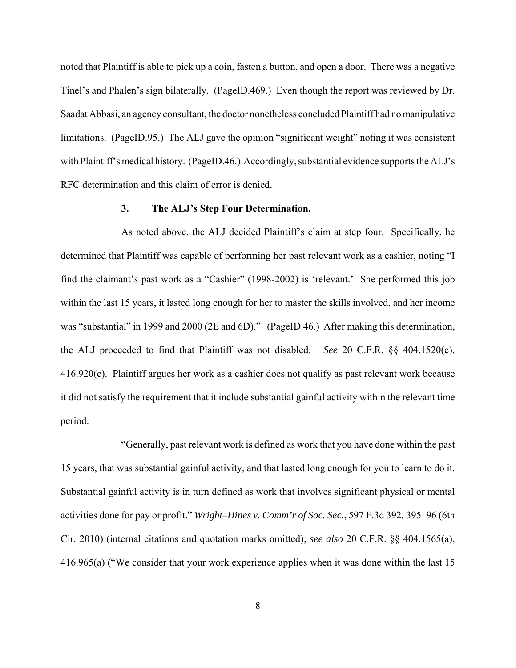noted that Plaintiff is able to pick up a coin, fasten a button, and open a door. There was a negative Tinel's and Phalen's sign bilaterally. (PageID.469.) Even though the report was reviewed by Dr. Saadat Abbasi, an agency consultant, the doctor nonetheless concluded Plaintiff had no manipulative limitations. (PageID.95.) The ALJ gave the opinion "significant weight" noting it was consistent with Plaintiff's medical history. (PageID.46.) Accordingly, substantial evidence supports the ALJ's RFC determination and this claim of error is denied.

## **3. The ALJ's Step Four Determination.**

As noted above, the ALJ decided Plaintiff's claim at step four. Specifically, he determined that Plaintiff was capable of performing her past relevant work as a cashier, noting "I find the claimant's past work as a "Cashier" (1998-2002) is 'relevant.' She performed this job within the last 15 years, it lasted long enough for her to master the skills involved, and her income was "substantial" in 1999 and 2000 (2E and 6D)." (PageID.46.) After making this determination, the ALJ proceeded to find that Plaintiff was not disabled. *See* 20 C.F.R. §§ 404.1520(e), 416.920(e). Plaintiff argues her work as a cashier does not qualify as past relevant work because it did not satisfy the requirement that it include substantial gainful activity within the relevant time period.

"Generally, past relevant work is defined as work that you have done within the past 15 years, that was substantial gainful activity, and that lasted long enough for you to learn to do it. Substantial gainful activity is in turn defined as work that involves significant physical or mental activities done for pay or profit." *Wright–Hines v. Comm'r of Soc. Sec.*, 597 F.3d 392, 395–96 (6th Cir. 2010) (internal citations and quotation marks omitted); *see also* 20 C.F.R. §§ 404.1565(a), 416.965(a) ("We consider that your work experience applies when it was done within the last 15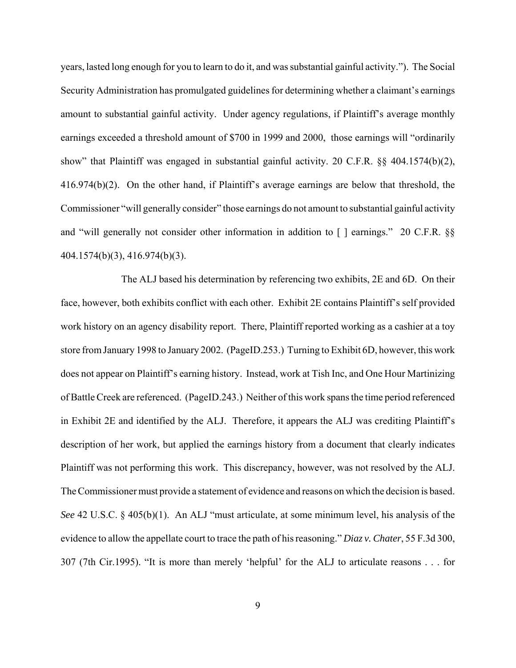years, lasted long enough for you to learn to do it, and was substantial gainful activity."). The Social Security Administration has promulgated guidelines for determining whether a claimant's earnings amount to substantial gainful activity. Under agency regulations, if Plaintiff's average monthly earnings exceeded a threshold amount of \$700 in 1999 and 2000, those earnings will "ordinarily show" that Plaintiff was engaged in substantial gainful activity. 20 C.F.R. §§ 404.1574(b)(2), 416.974(b)(2). On the other hand, if Plaintiff's average earnings are below that threshold, the Commissioner "will generally consider" those earnings do not amount to substantial gainful activity and "will generally not consider other information in addition to [ ] earnings." 20 C.F.R. §§ 404.1574(b)(3), 416.974(b)(3).

The ALJ based his determination by referencing two exhibits, 2E and 6D. On their face, however, both exhibits conflict with each other. Exhibit 2E contains Plaintiff's self provided work history on an agency disability report. There, Plaintiff reported working as a cashier at a toy store from January 1998 to January 2002. (PageID.253.) Turning to Exhibit 6D, however, this work does not appear on Plaintiff's earning history. Instead, work at Tish Inc, and One Hour Martinizing of Battle Creek are referenced. (PageID.243.) Neither of this work spans the time period referenced in Exhibit 2E and identified by the ALJ. Therefore, it appears the ALJ was crediting Plaintiff's description of her work, but applied the earnings history from a document that clearly indicates Plaintiff was not performing this work. This discrepancy, however, was not resolved by the ALJ. The Commissioner must provide a statement of evidence and reasons on which the decision is based. *See* 42 U.S.C. § 405(b)(1). An ALJ "must articulate, at some minimum level, his analysis of the evidence to allow the appellate court to trace the path of his reasoning." *Diaz v. Chater*, 55 F.3d 300, 307 (7th Cir.1995). "It is more than merely 'helpful' for the ALJ to articulate reasons . . . for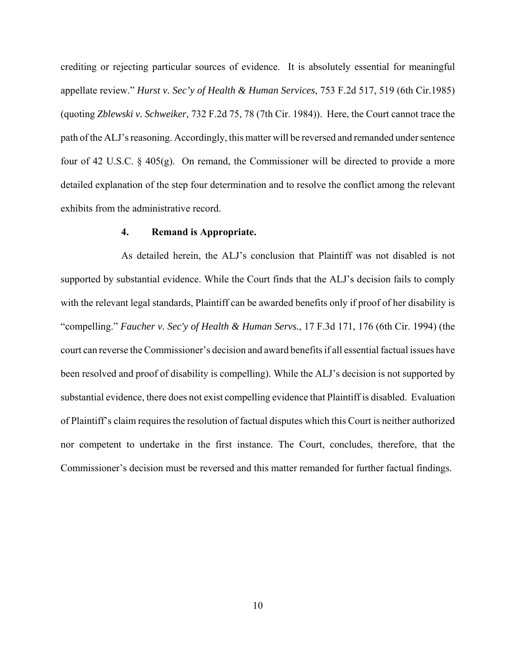crediting or rejecting particular sources of evidence. It is absolutely essential for meaningful appellate review." *Hurst v. Sec'y of Health & Human Services*, 753 F.2d 517, 519 (6th Cir.1985) (quoting *Zblewski v. Schweiker*, 732 F.2d 75, 78 (7th Cir. 1984)). Here, the Court cannot trace the path of the ALJ's reasoning. Accordingly, this matter will be reversed and remanded under sentence four of 42 U.S.C. § 405(g). On remand, the Commissioner will be directed to provide a more detailed explanation of the step four determination and to resolve the conflict among the relevant exhibits from the administrative record.

## **4. Remand is Appropriate.**

As detailed herein, the ALJ's conclusion that Plaintiff was not disabled is not supported by substantial evidence. While the Court finds that the ALJ's decision fails to comply with the relevant legal standards, Plaintiff can be awarded benefits only if proof of her disability is "compelling." *Faucher v. Sec'y of Health & Human Servs.*, 17 F.3d 171, 176 (6th Cir. 1994) (the court can reverse the Commissioner's decision and award benefits if all essential factual issues have been resolved and proof of disability is compelling). While the ALJ's decision is not supported by substantial evidence, there does not exist compelling evidence that Plaintiff is disabled. Evaluation of Plaintiff's claim requires the resolution of factual disputes which this Court is neither authorized nor competent to undertake in the first instance. The Court, concludes, therefore, that the Commissioner's decision must be reversed and this matter remanded for further factual findings.